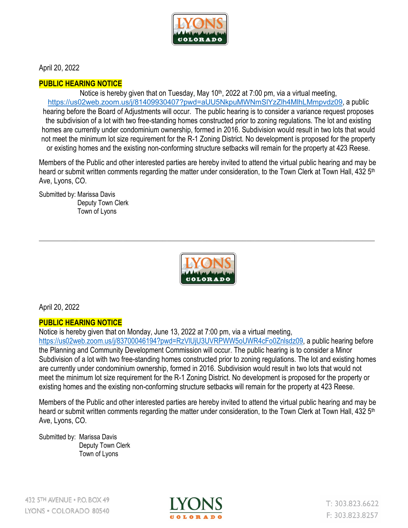

April 20, 2022

## **PUBLIC HEARING NOTICE**

Notice is hereby given that on Tuesday, May 10<sup>th</sup>, 2022 at 7:00 pm, via a virtual meeting, <https://us02web.zoom.us/j/81409930407?pwd=aUU5NkpuMWNmSlYzZlh4MlhLMmpvdz09>, a public hearing before the Board of Adjustments will occur. The public hearing is to consider a variance request proposes the subdivision of a lot with two free-standing homes constructed prior to zoning regulations. The lot and existing homes are currently under condominium ownership, formed in 2016. Subdivision would result in two lots that would not meet the minimum lot size requirement for the R-1 Zoning District. No development is proposed for the property or existing homes and the existing non-conforming structure setbacks will remain for the property at 423 Reese.

Members of the Public and other interested parties are hereby invited to attend the virtual public hearing and may be heard or submit written comments regarding the matter under consideration, to the Town Clerk at Town Hall, 432 5<sup>th</sup> Ave, Lyons, CO.

Submitted by: Marissa Davis Deputy Town Clerk Town of Lyons



\_\_\_\_\_\_\_\_\_\_\_\_\_\_\_\_\_\_\_\_\_\_\_\_\_\_\_\_\_\_\_\_\_\_\_\_\_\_\_\_\_\_\_\_\_\_\_\_\_\_\_\_\_\_\_\_\_\_\_\_\_\_\_\_\_\_\_\_\_\_\_\_\_\_\_\_\_\_\_\_\_\_\_\_

April 20, 2022

## **PUBLIC HEARING NOTICE**

Notice is hereby given that on Monday, June 13, 2022 at 7:00 pm, via a virtual meeting,

[https://us02web.zoom.us/j/83700046194?pwd=RzVlUjU3UVRPWW5oUWR4cFo0Znlsdz09,](https://us02web.zoom.us/j/83700046194?pwd=RzVlUjU3UVRPWW5oUWR4cFo0Znlsdz09) a public hearing before the Planning and Community Development Commission will occur. The public hearing is to consider a Minor Subdivision of a lot with two free-standing homes constructed prior to zoning regulations. The lot and existing homes are currently under condominium ownership, formed in 2016. Subdivision would result in two lots that would not meet the minimum lot size requirement for the R-1 Zoning District. No development is proposed for the property or existing homes and the existing non-conforming structure setbacks will remain for the property at 423 Reese.

Members of the Public and other interested parties are hereby invited to attend the virtual public hearing and may be heard or submit written comments regarding the matter under consideration, to the Town Clerk at Town Hall, 432 5<sup>th</sup> Ave, Lyons, CO.

Submitted by: Marissa Davis Deputy Town Clerk Town of Lyons



 $T: 303.823.6622$ F: 303.823.8257